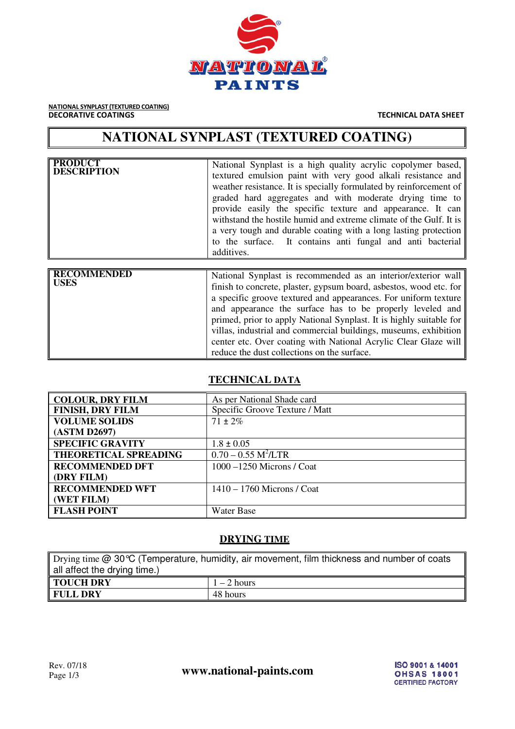

**NATIONAL SYNPLAST (TEXTURED COATING)**<br>**DECORATIVE COATINGS** 

**TECHNICAL DATA SHEET** 

## **NATIONAL SYNPLAST (TEXTURED COATING)**

| <b>PRODUCT</b><br><b>DESCRIPTION</b> | National Synplast is a high quality acrylic copolymer based,<br>textured emulsion paint with very good alkali resistance and<br>weather resistance. It is specially formulated by reinforcement of<br>graded hard aggregates and with moderate drying time to<br>provide easily the specific texture and appearance. It can<br>with stand the hostile humid and extreme climate of the Gulf. It is<br>a very tough and durable coating with a long lasting protection<br>to the surface. It contains anti fungal and anti bacterial<br>additives. |
|--------------------------------------|---------------------------------------------------------------------------------------------------------------------------------------------------------------------------------------------------------------------------------------------------------------------------------------------------------------------------------------------------------------------------------------------------------------------------------------------------------------------------------------------------------------------------------------------------|
|                                      |                                                                                                                                                                                                                                                                                                                                                                                                                                                                                                                                                   |
| <b>RECOMMENDED</b><br><b>USES</b>    | National Synplast is recommended as an interior/exterior wall<br>finish to concrete, plaster, gypsum board, asbestos, wood etc. for<br>a specific groove textured and appearances. For uniform texture<br>and appearance the surface has to be properly leveled and<br>primed, prior to apply National Synplast. It is highly suitable for                                                                                                                                                                                                        |

### **TECHNICAL DATA**

reduce the dust collections on the surface.

villas, industrial and commercial buildings, museums, exhibition center etc. Over coating with National Acrylic Clear Glaze will

| <b>COLOUR, DRY FILM</b>      | As per National Shade card        |  |  |  |
|------------------------------|-----------------------------------|--|--|--|
| <b>FINISH, DRY FILM</b>      | Specific Groove Texture / Matt    |  |  |  |
| <b>VOLUME SOLIDS</b>         | $71 \pm 2\%$                      |  |  |  |
| (ASTM D2697)                 |                                   |  |  |  |
| <b>SPECIFIC GRAVITY</b>      | $1.8 \pm 0.05$                    |  |  |  |
| <b>THEORETICAL SPREADING</b> | $0.70 - 0.55$ M <sup>2</sup> /LTR |  |  |  |
| <b>RECOMMENDED DFT</b>       | $1000 - 1250$ Microns / Coat      |  |  |  |
| (DRY FILM)                   |                                   |  |  |  |
| <b>RECOMMENDED WFT</b>       | $1410 - 1760$ Microns / Coat      |  |  |  |
| (WET FILM)                   |                                   |  |  |  |
| <b>FLASH POINT</b>           | Water Base                        |  |  |  |
|                              |                                   |  |  |  |

#### **DRYING TIME**

| Drying time $@$ 30 °C (Temperature, humidity, air movement, film thickness and number of coats |               |  |  |  |
|------------------------------------------------------------------------------------------------|---------------|--|--|--|
| all affect the drying time.)                                                                   |               |  |  |  |
| <b>TOUCH DRY</b>                                                                               | $1 - 2$ hours |  |  |  |
| 48 hours<br><b>FULL DRY</b>                                                                    |               |  |  |  |

Rev. 07/18<br>Page 1/3 **www.national-paints.com**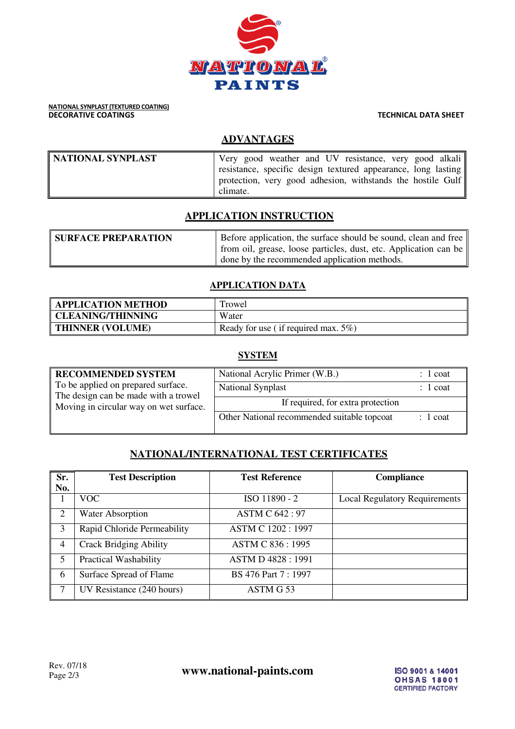

# **NATIONAL SYNPLAST (TEXTURED COATING)**<br>DECORATIVE COATINGS

**TECHNICAL DATA SHEET** 

## **ADVANTAGES**

| NATIONAL SYNPLAST | Very good weather and UV resistance, very good alkali                                                                                    |
|-------------------|------------------------------------------------------------------------------------------------------------------------------------------|
|                   | resistance, specific design textured appearance, long lasting<br>protection, very good adhesion, withstands the hostile Gulf<br>climate. |

## **APPLICATION INSTRUCTION**

| <b>SURFACE PREPARATION</b> | Before application, the surface should be sound, clean and free  |  |  |  |
|----------------------------|------------------------------------------------------------------|--|--|--|
|                            | from oil, grease, loose particles, dust, etc. Application can be |  |  |  |
|                            | done by the recommended application methods.                     |  |  |  |

#### **APPLICATION DATA**

| <b>APPLICATION METHOD</b> | Trowel                                  |
|---------------------------|-----------------------------------------|
| <b>CLEANING/THINNING</b>  | Water                                   |
| <b>THINNER (VOLUME)</b>   | Ready for use (if required max. $5\%$ ) |

#### **SYSTEM**

| <b>RECOMMENDED SYSTEM</b>                                                  | National Acrylic Primer (W.B.)              | 1 coat     |
|----------------------------------------------------------------------------|---------------------------------------------|------------|
| To be applied on prepared surface.<br>The design can be made with a trowel | National Synplast                           | $: 1$ coat |
| Moving in circular way on wet surface.                                     | If required, for extra protection           |            |
|                                                                            | Other National recommended suitable topcoat | $: 1$ coat |
|                                                                            |                                             |            |

## **NATIONAL/INTERNATIONAL TEST CERTIFICATES**

| Sr.            | <b>Test Description</b>       | <b>Test Reference</b>    | <b>Compliance</b>                    |  |  |  |  |
|----------------|-------------------------------|--------------------------|--------------------------------------|--|--|--|--|
| No.            |                               |                          |                                      |  |  |  |  |
|                | VOC.                          | ISO 11890 - 2            | <b>Local Regulatory Requirements</b> |  |  |  |  |
| 2              | <b>Water Absorption</b>       | <b>ASTM C 642: 97</b>    |                                      |  |  |  |  |
| 3              | Rapid Chloride Permeability   | ASTM C 1202: 1997        |                                      |  |  |  |  |
| $\overline{4}$ | <b>Crack Bridging Ability</b> | ASTM C 836:1995          |                                      |  |  |  |  |
| 5              | <b>Practical Washability</b>  | <b>ASTM D 4828: 1991</b> |                                      |  |  |  |  |
| 6              | Surface Spread of Flame       | BS 476 Part 7:1997       |                                      |  |  |  |  |
|                | UV Resistance (240 hours)     | ASTM G53                 |                                      |  |  |  |  |